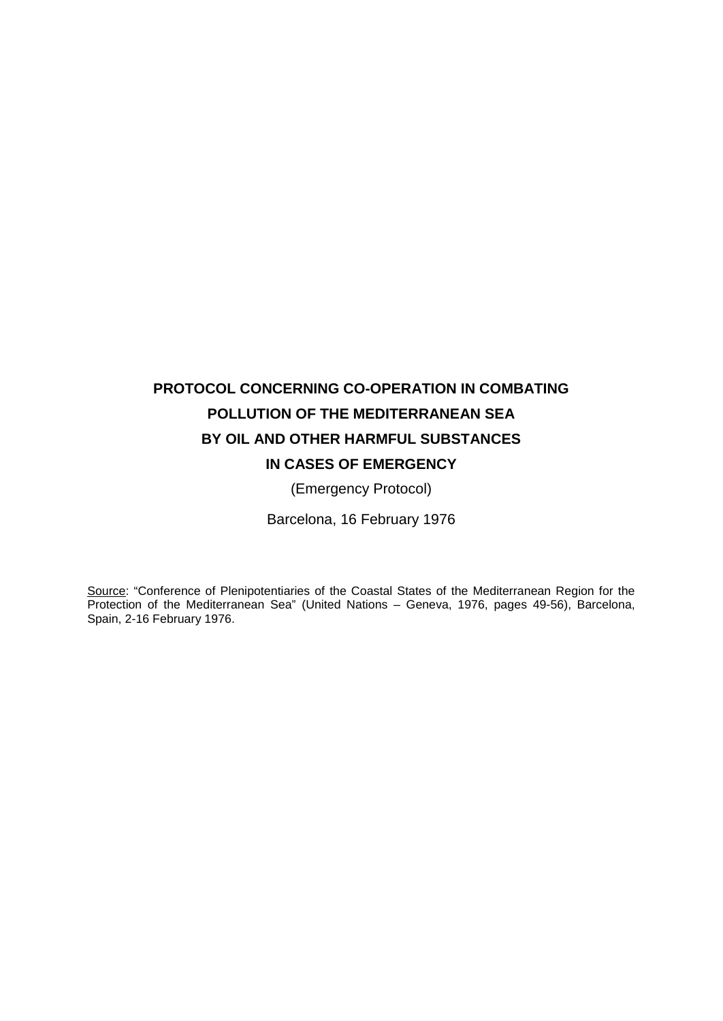# **PROTOCOL CONCERNING CO-OPERATION IN COMBATING POLLUTION OF THE MEDITERRANEAN SEA BY OIL AND OTHER HARMFUL SUBSTANCES IN CASES OF EMERGENCY**

(Emergency Protocol)

Barcelona, 16 February 1976

Source: "Conference of Plenipotentiaries of the Coastal States of the Mediterranean Region for the Protection of the Mediterranean Sea" (United Nations – Geneva, 1976, pages 49-56), Barcelona, Spain, 2-16 February 1976.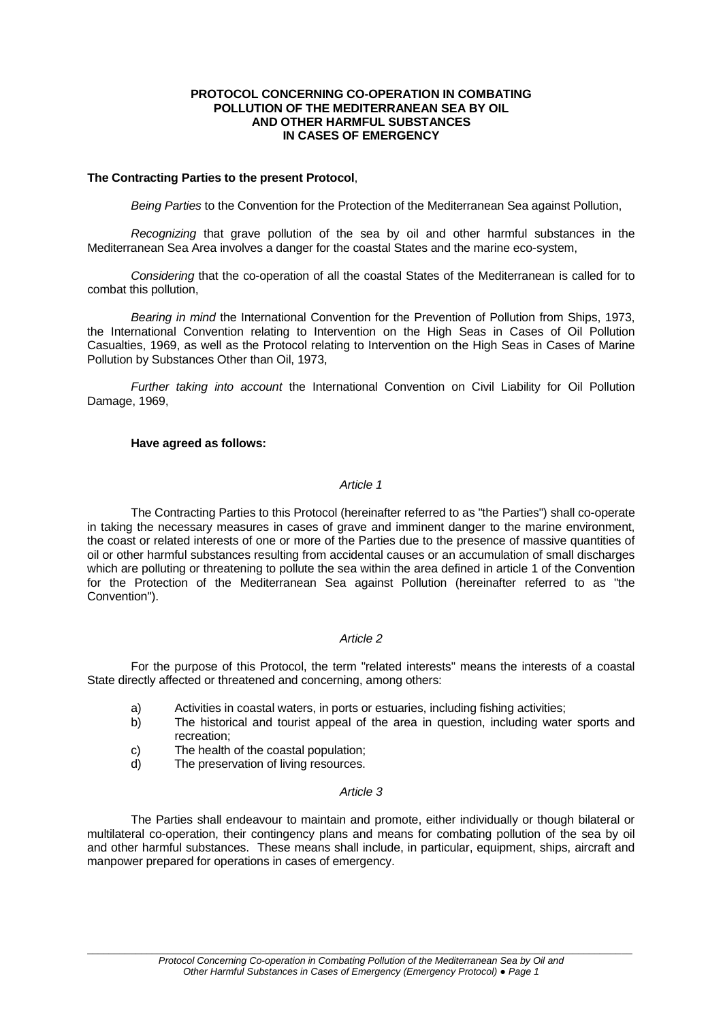#### **PROTOCOL CONCERNING CO-OPERATION IN COMBATING POLLUTION OF THE MEDITERRANEAN SEA BY OIL AND OTHER HARMFUL SUBSTANCES IN CASES OF EMERGENCY**

#### **The Contracting Parties to the present Protocol**,

*Being Parties* to the Convention for the Protection of the Mediterranean Sea against Pollution,

*Recognizing* that grave pollution of the sea by oil and other harmful substances in the Mediterranean Sea Area involves a danger for the coastal States and the marine eco-system,

*Considering* that the co-operation of all the coastal States of the Mediterranean is called for to combat this pollution,

*Bearing in mind* the International Convention for the Prevention of Pollution from Ships, 1973, the International Convention relating to Intervention on the High Seas in Cases of Oil Pollution Casualties, 1969, as well as the Protocol relating to Intervention on the High Seas in Cases of Marine Pollution by Substances Other than Oil, 1973,

*Further taking into account* the International Convention on Civil Liability for Oil Pollution Damage, 1969,

#### **Have agreed as follows:**

#### *Article 1*

The Contracting Parties to this Protocol (hereinafter referred to as "the Parties") shall co-operate in taking the necessary measures in cases of grave and imminent danger to the marine environment, the coast or related interests of one or more of the Parties due to the presence of massive quantities of oil or other harmful substances resulting from accidental causes or an accumulation of small discharges which are polluting or threatening to pollute the sea within the area defined in article 1 of the Convention for the Protection of the Mediterranean Sea against Pollution (hereinafter referred to as "the Convention").

#### *Article 2*

For the purpose of this Protocol, the term "related interests" means the interests of a coastal State directly affected or threatened and concerning, among others:

- a) Activities in coastal waters, in ports or estuaries, including fishing activities;
- b) The historical and tourist appeal of the area in question, including water sports and recreation;
- c) The health of the coastal population;
- d) The preservation of living resources.

#### *Article 3*

The Parties shall endeavour to maintain and promote, either individually or though bilateral or multilateral co-operation, their contingency plans and means for combating pollution of the sea by oil and other harmful substances. These means shall include, in particular, equipment, ships, aircraft and manpower prepared for operations in cases of emergency.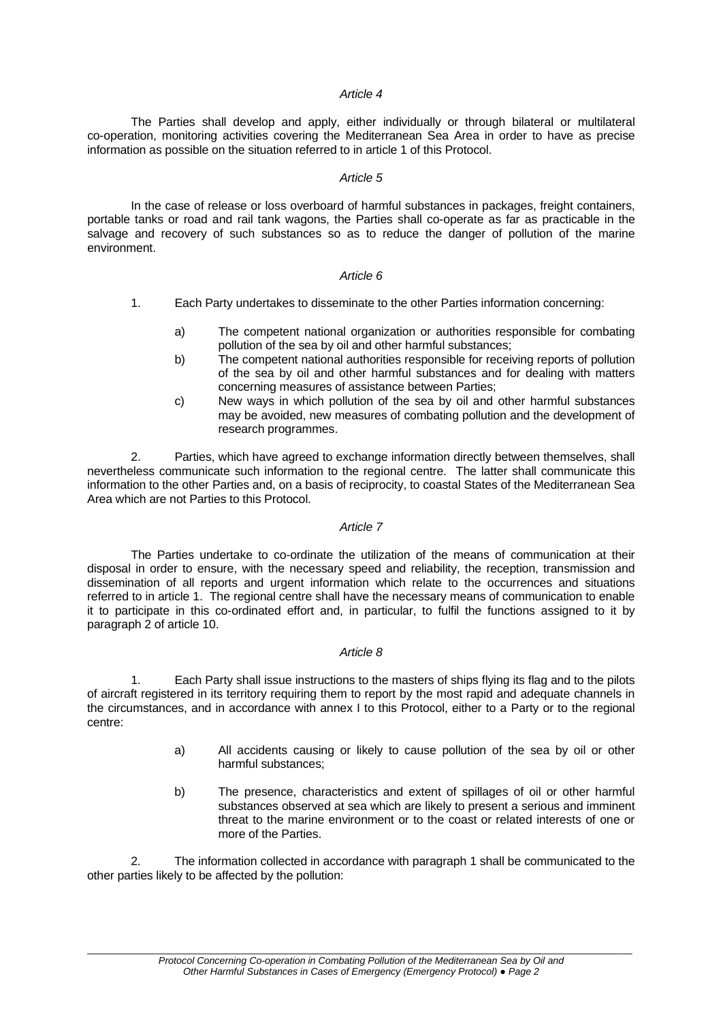## *Article 4*

The Parties shall develop and apply, either individually or through bilateral or multilateral co-operation, monitoring activities covering the Mediterranean Sea Area in order to have as precise information as possible on the situation referred to in article 1 of this Protocol.

#### *Article 5*

In the case of release or loss overboard of harmful substances in packages, freight containers, portable tanks or road and rail tank wagons, the Parties shall co-operate as far as practicable in the salvage and recovery of such substances so as to reduce the danger of pollution of the marine environment.

#### *Article 6*

- 1. Each Party undertakes to disseminate to the other Parties information concerning:
	- a) The competent national organization or authorities responsible for combating pollution of the sea by oil and other harmful substances;
	- b) The competent national authorities responsible for receiving reports of pollution of the sea by oil and other harmful substances and for dealing with matters concerning measures of assistance between Parties;
	- c) New ways in which pollution of the sea by oil and other harmful substances may be avoided, new measures of combating pollution and the development of research programmes.

2. Parties, which have agreed to exchange information directly between themselves, shall nevertheless communicate such information to the regional centre. The latter shall communicate this information to the other Parties and, on a basis of reciprocity, to coastal States of the Mediterranean Sea Area which are not Parties to this Protocol.

## *Article 7*

The Parties undertake to co-ordinate the utilization of the means of communication at their disposal in order to ensure, with the necessary speed and reliability, the reception, transmission and dissemination of all reports and urgent information which relate to the occurrences and situations referred to in article 1. The regional centre shall have the necessary means of communication to enable it to participate in this co-ordinated effort and, in particular, to fulfil the functions assigned to it by paragraph 2 of article 10.

#### *Article 8*

Each Party shall issue instructions to the masters of ships flying its flag and to the pilots of aircraft registered in its territory requiring them to report by the most rapid and adequate channels in the circumstances, and in accordance with annex I to this Protocol, either to a Party or to the regional centre:

- a) All accidents causing or likely to cause pollution of the sea by oil or other harmful substances;
- b) The presence, characteristics and extent of spillages of oil or other harmful substances observed at sea which are likely to present a serious and imminent threat to the marine environment or to the coast or related interests of one or more of the Parties.

2. The information collected in accordance with paragraph 1 shall be communicated to the other parties likely to be affected by the pollution: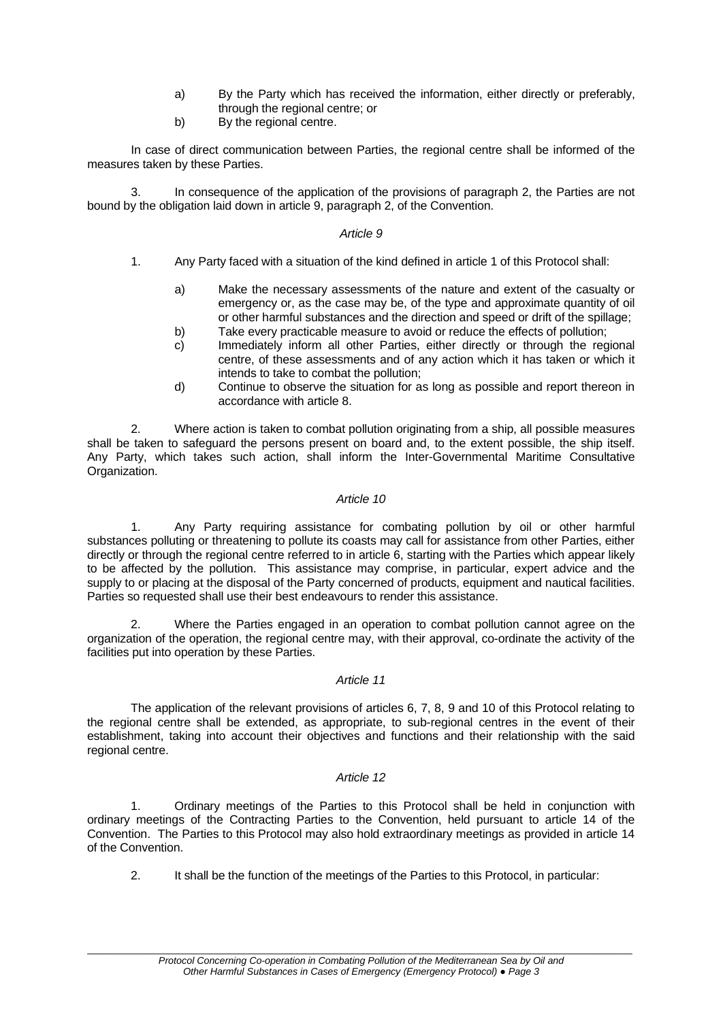- a) By the Party which has received the information, either directly or preferably, through the regional centre; or
- b) By the regional centre.

In case of direct communication between Parties, the regional centre shall be informed of the measures taken by these Parties.

3. In consequence of the application of the provisions of paragraph 2, the Parties are not bound by the obligation laid down in article 9, paragraph 2, of the Convention.

## *Article 9*

- 1. Any Party faced with a situation of the kind defined in article 1 of this Protocol shall:
	- a) Make the necessary assessments of the nature and extent of the casualty or emergency or, as the case may be, of the type and approximate quantity of oil or other harmful substances and the direction and speed or drift of the spillage;
	- b) Take every practicable measure to avoid or reduce the effects of pollution;
	- c) Immediately inform all other Parties, either directly or through the regional centre, of these assessments and of any action which it has taken or which it intends to take to combat the pollution;
	- d) Continue to observe the situation for as long as possible and report thereon in accordance with article 8.

2. Where action is taken to combat pollution originating from a ship, all possible measures shall be taken to safeguard the persons present on board and, to the extent possible, the ship itself. Any Party, which takes such action, shall inform the Inter-Governmental Maritime Consultative Organization.

# *Article 10*

1. Any Party requiring assistance for combating pollution by oil or other harmful substances polluting or threatening to pollute its coasts may call for assistance from other Parties, either directly or through the regional centre referred to in article 6, starting with the Parties which appear likely to be affected by the pollution. This assistance may comprise, in particular, expert advice and the supply to or placing at the disposal of the Party concerned of products, equipment and nautical facilities. Parties so requested shall use their best endeavours to render this assistance.

2. Where the Parties engaged in an operation to combat pollution cannot agree on the organization of the operation, the regional centre may, with their approval, co-ordinate the activity of the facilities put into operation by these Parties.

#### *Article 11*

The application of the relevant provisions of articles 6, 7, 8, 9 and 10 of this Protocol relating to the regional centre shall be extended, as appropriate, to sub-regional centres in the event of their establishment, taking into account their objectives and functions and their relationship with the said regional centre.

## *Article 12*

1. Ordinary meetings of the Parties to this Protocol shall be held in conjunction with ordinary meetings of the Contracting Parties to the Convention, held pursuant to article 14 of the Convention. The Parties to this Protocol may also hold extraordinary meetings as provided in article 14 of the Convention.

2. It shall be the function of the meetings of the Parties to this Protocol, in particular: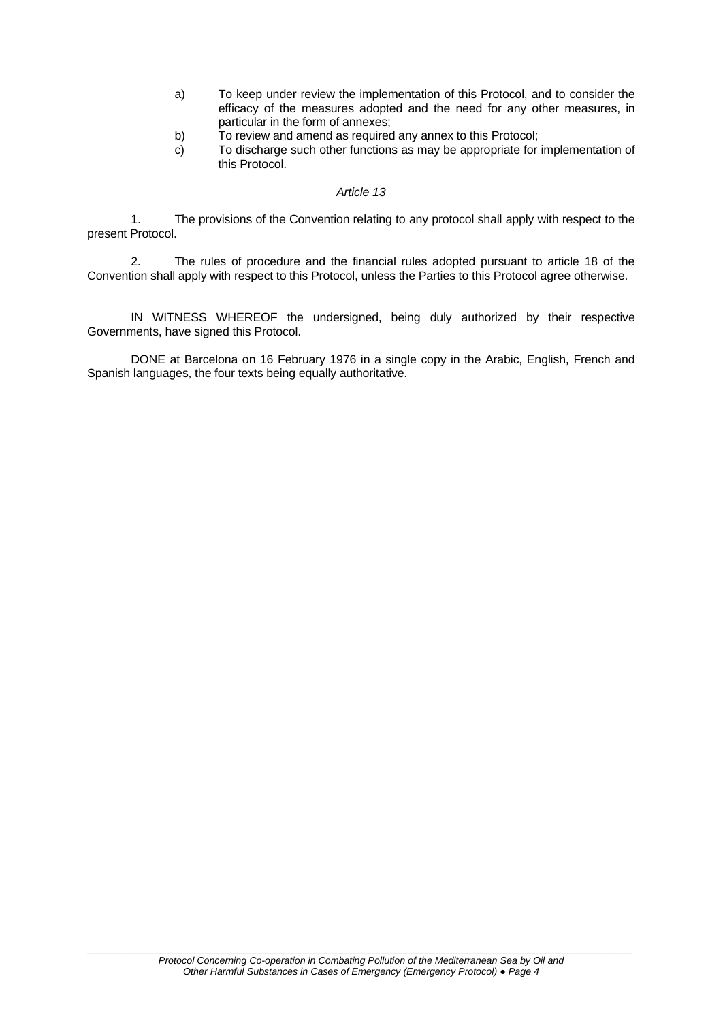- a) To keep under review the implementation of this Protocol, and to consider the efficacy of the measures adopted and the need for any other measures, in particular in the form of annexes;
- b) To review and amend as required any annex to this Protocol;
- c) To discharge such other functions as may be appropriate for implementation of this Protocol.

### *Article 13*

1. The provisions of the Convention relating to any protocol shall apply with respect to the present Protocol.

2. The rules of procedure and the financial rules adopted pursuant to article 18 of the Convention shall apply with respect to this Protocol, unless the Parties to this Protocol agree otherwise.

IN WITNESS WHEREOF the undersigned, being duly authorized by their respective Governments, have signed this Protocol.

DONE at Barcelona on 16 February 1976 in a single copy in the Arabic, English, French and Spanish languages, the four texts being equally authoritative.